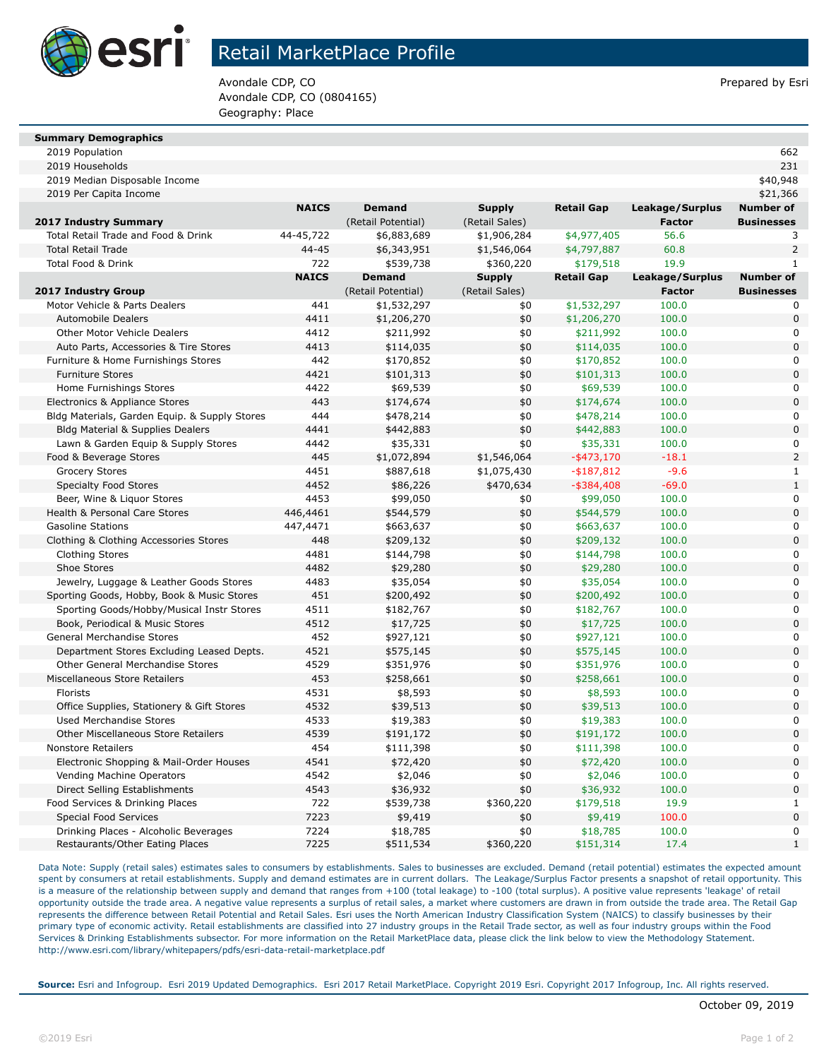

## Retail MarketPlace Profile

Avondale CDP, CO **Prepared by Esri** Prepared by Esri Avondale CDP, CO (0804165) Geography: Place

| <b>Summary Demographics</b> |
|-----------------------------|
|-----------------------------|

2019 Population 662

| 2019 Households                               |              |                    |                |                   |                 | 231               |
|-----------------------------------------------|--------------|--------------------|----------------|-------------------|-----------------|-------------------|
| 2019 Median Disposable Income                 |              |                    |                |                   |                 | \$40,948          |
| 2019 Per Capita Income                        |              |                    |                |                   |                 | \$21,366          |
|                                               | <b>NAICS</b> | <b>Demand</b>      | <b>Supply</b>  | <b>Retail Gap</b> | Leakage/Surplus | <b>Number of</b>  |
| 2017 Industry Summary                         |              | (Retail Potential) | (Retail Sales) |                   | <b>Factor</b>   | <b>Businesses</b> |
| Total Retail Trade and Food & Drink           | 44-45,722    | \$6,883,689        | \$1,906,284    | \$4,977,405       | 56.6            | 3                 |
| <b>Total Retail Trade</b>                     | $44 - 45$    | \$6,343,951        | \$1,546,064    | \$4,797,887       | 60.8            | $\overline{2}$    |
| Total Food & Drink                            | 722          | \$539,738          | \$360,220      | \$179,518         | 19.9            | $\mathbf{1}$      |
|                                               | <b>NAICS</b> | <b>Demand</b>      | <b>Supply</b>  | <b>Retail Gap</b> | Leakage/Surplus | <b>Number of</b>  |
| 2017 Industry Group                           |              | (Retail Potential) | (Retail Sales) |                   | <b>Factor</b>   | <b>Businesses</b> |
| Motor Vehicle & Parts Dealers                 | 441          | \$1,532,297        | \$0            | \$1,532,297       | 100.0           | 0                 |
| Automobile Dealers                            | 4411         | \$1,206,270        | \$0            | \$1,206,270       | 100.0           | $\overline{0}$    |
| <b>Other Motor Vehicle Dealers</b>            | 4412         | \$211,992          | \$0            | \$211,992         | 100.0           | 0                 |
| Auto Parts, Accessories & Tire Stores         | 4413         | \$114,035          | \$0            | \$114,035         | 100.0           | $\overline{0}$    |
| Furniture & Home Furnishings Stores           | 442          | \$170,852          | \$0            | \$170,852         | 100.0           | 0                 |
| <b>Furniture Stores</b>                       | 4421         | \$101,313          | \$0            | \$101,313         | 100.0           | $\overline{0}$    |
| Home Furnishings Stores                       | 4422         | \$69,539           | \$0            | \$69,539          | 100.0           | 0                 |
| Electronics & Appliance Stores                | 443          | \$174,674          | \$0            | \$174,674         | 100.0           | $\overline{0}$    |
| Bldg Materials, Garden Equip. & Supply Stores | 444          | \$478,214          | \$0            | \$478,214         | 100.0           | 0                 |
| Bldg Material & Supplies Dealers              | 4441         | \$442,883          | \$0            | \$442,883         | 100.0           | $\overline{0}$    |
| Lawn & Garden Equip & Supply Stores           | 4442         | \$35,331           | \$0            | \$35,331          | 100.0           | 0                 |
| Food & Beverage Stores                        | 445          | \$1,072,894        | \$1,546,064    | $-$ \$473,170     | $-18.1$         | $\overline{a}$    |
| <b>Grocery Stores</b>                         | 4451         | \$887,618          | \$1,075,430    | $-$ \$187,812     | $-9.6$          | $\mathbf{1}$      |
| <b>Specialty Food Stores</b>                  | 4452         | \$86,226           | \$470,634      | $-$ \$384,408     | $-69.0$         | $\mathbf{1}$      |
| Beer, Wine & Liguor Stores                    | 4453         | \$99,050           | \$0            | \$99,050          | 100.0           | 0                 |
| Health & Personal Care Stores                 | 446,4461     | \$544,579          | \$0            | \$544,579         | 100.0           | $\overline{0}$    |
| <b>Gasoline Stations</b>                      | 447,4471     | \$663,637          | \$0            | \$663,637         | 100.0           | 0                 |
| Clothing & Clothing Accessories Stores        | 448          | \$209,132          | \$0            | \$209,132         | 100.0           | $\overline{0}$    |
| <b>Clothing Stores</b>                        | 4481         | \$144,798          | \$0            | \$144,798         | 100.0           | 0                 |
| Shoe Stores                                   | 4482         | \$29,280           | \$0            | \$29,280          | 100.0           | $\overline{0}$    |
| Jewelry, Luggage & Leather Goods Stores       | 4483         | \$35,054           | \$0            | \$35,054          | 100.0           | 0                 |
| Sporting Goods, Hobby, Book & Music Stores    | 451          | \$200,492          | \$0            | \$200,492         | 100.0           | $\overline{0}$    |
| Sporting Goods/Hobby/Musical Instr Stores     | 4511         | \$182,767          | \$0            | \$182,767         | 100.0           | 0                 |
| Book, Periodical & Music Stores               | 4512         | \$17,725           | \$0            | \$17,725          | 100.0           | $\overline{0}$    |
| General Merchandise Stores                    | 452          | \$927,121          | \$0            | \$927,121         | 100.0           | 0                 |
| Department Stores Excluding Leased Depts.     | 4521         | \$575,145          | \$0            | \$575,145         | 100.0           | $\overline{0}$    |
| Other General Merchandise Stores              | 4529         | \$351,976          | \$0            | \$351,976         | 100.0           | 0                 |
| Miscellaneous Store Retailers                 | 453          | \$258,661          | \$0            | \$258,661         | 100.0           | $\overline{0}$    |
| Florists                                      | 4531         | \$8,593            | \$0            | \$8,593           | 100.0           | 0                 |
| Office Supplies, Stationery & Gift Stores     | 4532         | \$39,513           | \$0            | \$39,513          | 100.0           | $\overline{0}$    |
| <b>Used Merchandise Stores</b>                | 4533         | \$19,383           | \$0            | \$19,383          | 100.0           | 0                 |
| <b>Other Miscellaneous Store Retailers</b>    | 4539         | \$191,172          | \$0            | \$191,172         | 100.0           | $\overline{0}$    |
| <b>Nonstore Retailers</b>                     | 454          | \$111,398          | \$0            | \$111,398         | 100.0           | 0                 |
| Electronic Shopping & Mail-Order Houses       | 4541         | \$72,420           | \$0            | \$72,420          | 100.0           | $\overline{0}$    |
| Vending Machine Operators                     | 4542         | \$2,046            | \$0            | \$2,046           | 100.0           | 0                 |
| Direct Selling Establishments                 | 4543         | \$36,932           | \$0            | \$36,932          | 100.0           | $\overline{0}$    |
| Food Services & Drinking Places               | 722          | \$539,738          | \$360,220      | \$179,518         | 19.9            | $\mathbf{1}$      |
| <b>Special Food Services</b>                  | 7223         | \$9,419            | \$0            | \$9,419           | 100.0           | $\overline{0}$    |
| Drinking Places - Alcoholic Beverages         | 7224         | \$18,785           | \$0            | \$18,785          | 100.0           | $\overline{0}$    |
| Restaurants/Other Eating Places               | 7225         | \$511,534          | \$360,220      | \$151,314         | 17.4            | $\mathbf{1}$      |

Data Note: Supply (retail sales) estimates sales to consumers by establishments. Sales to businesses are excluded. Demand (retail potential) estimates the expected amount spent by consumers at retail establishments. Supply and demand estimates are in current dollars. The Leakage/Surplus Factor presents a snapshot of retail opportunity. This is a measure of the relationship between supply and demand that ranges from +100 (total leakage) to -100 (total surplus). A positive value represents 'leakage' of retail opportunity outside the trade area. A negative value represents a surplus of retail sales, a market where customers are drawn in from outside the trade area. The Retail Gap represents the difference between Retail Potential and Retail Sales. Esri uses the North American Industry Classification System (NAICS) to classify businesses by their primary type of economic activity. Retail establishments are classified into 27 industry groups in the Retail Trade sector, as well as four industry groups within the Food Services & Drinking Establishments subsector. For more information on the Retail MarketPlace data, please click the link below to view the Methodology Statement. http://www.esri.com/library/whitepapers/pdfs/esri-data-retail-marketplace.pdf

**Source:** Esri and Infogroup. Esri 2019 Updated Demographics. Esri 2017 Retail MarketPlace. Copyright 2019 Esri. Copyright 2017 Infogroup, Inc. All rights reserved.